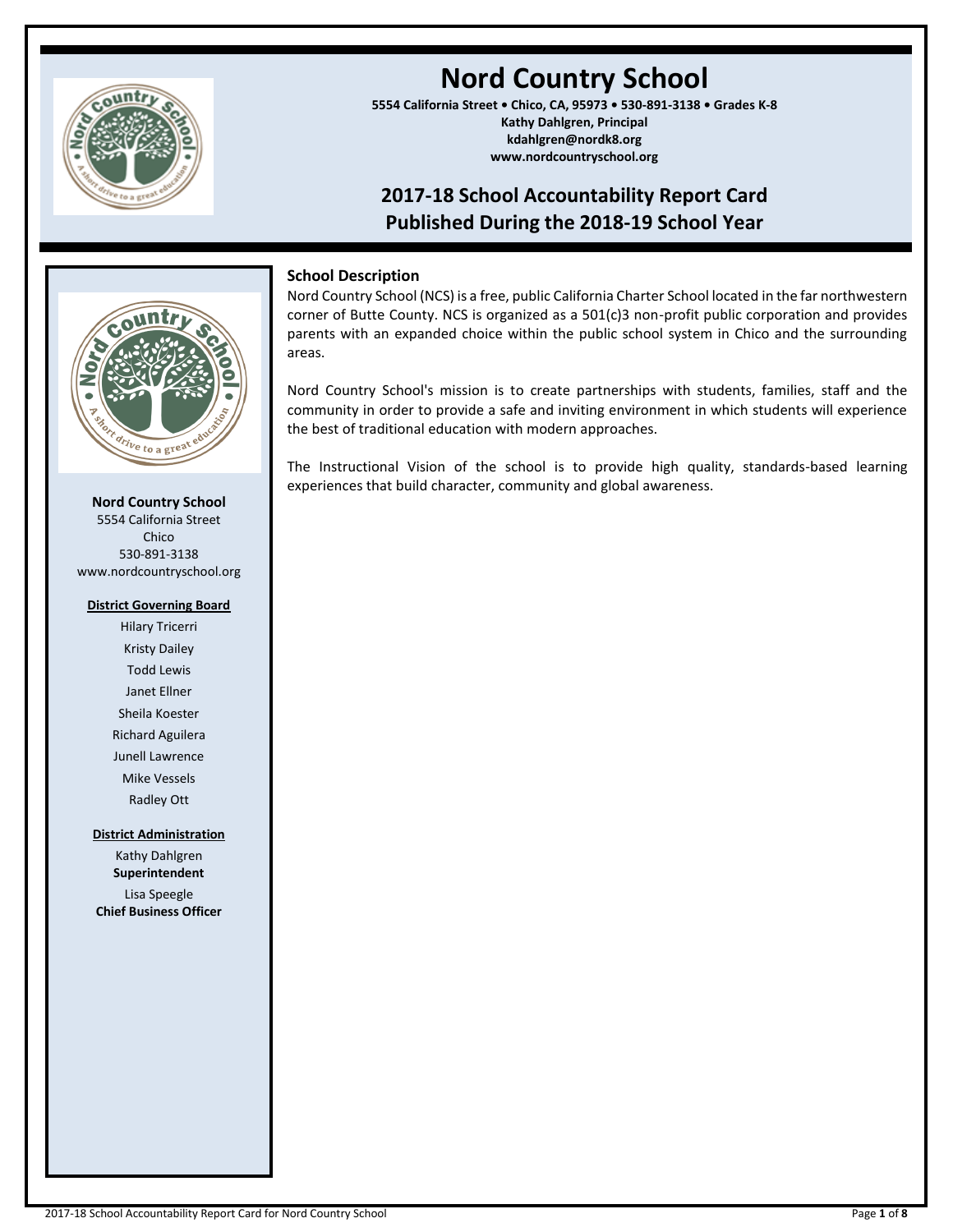

# **Nord Country School**

**5554 California Street • Chico, CA, 95973 • 530-891-3138 • Grades K-8 Kathy Dahlgren, Principal kdahlgren@nordk8.org www.nordcountryschool.org**

# **2017-18 School Accountability Report Card Published During the 2018-19 School Year**



**Nord Country School** 5554 California Street Chico 530-891-3138 www.nordcountryschool.org

#### **District Governing Board**

Hilary Tricerri Kristy Dailey Todd Lewis Janet Ellner Sheila Koester Richard Aguilera Junell Lawrence Mike Vessels Radley Ott

**District Administration**

Kathy Dahlgren **Superintendent** Lisa Speegle **Chief Business Officer**

# **School Description**

Nord Country School (NCS) is a free, public California Charter School located in the far northwestern corner of Butte County. NCS is organized as a 501(c)3 non-profit public corporation and provides parents with an expanded choice within the public school system in Chico and the surrounding areas.

Nord Country School's mission is to create partnerships with students, families, staff and the community in order to provide a safe and inviting environment in which students will experience the best of traditional education with modern approaches.

The Instructional Vision of the school is to provide high quality, standards-based learning experiences that build character, community and global awareness.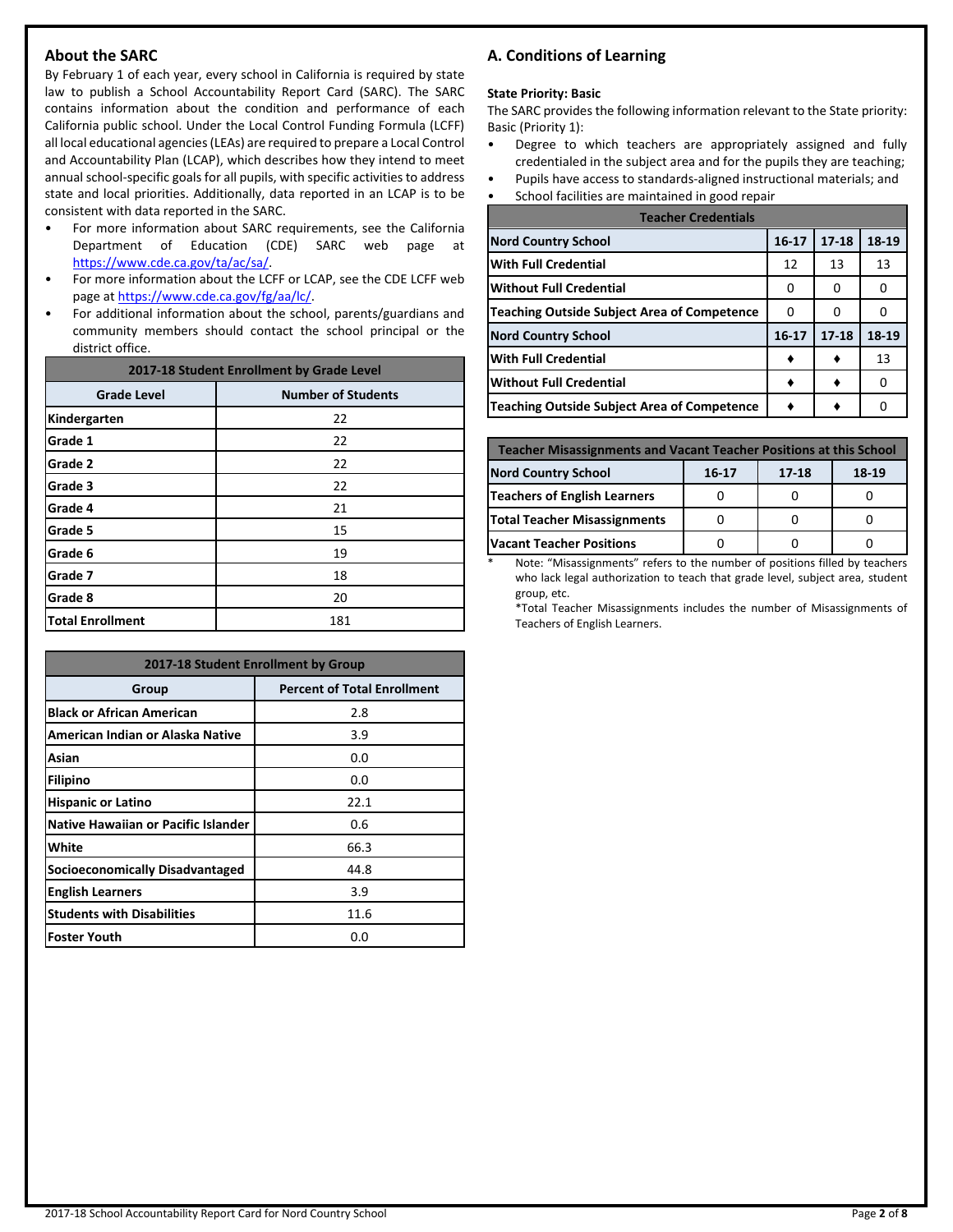# **About the SARC**

By February 1 of each year, every school in California is required by state law to publish a School Accountability Report Card (SARC). The SARC contains information about the condition and performance of each California public school. Under the Local Control Funding Formula (LCFF) all local educational agencies (LEAs) are required to prepare a Local Control and Accountability Plan (LCAP), which describes how they intend to meet annual school-specific goals for all pupils, with specific activities to address state and local priorities. Additionally, data reported in an LCAP is to be consistent with data reported in the SARC.

- For more information about SARC requirements, see the California Department of Education (CDE) SARC web page at [https://www.cde.ca.gov/ta/ac/sa/.](https://www.cde.ca.gov/ta/ac/sa/)
- For more information about the LCFF or LCAP, see the CDE LCFF web page at [https://www.cde.ca.gov/fg/aa/lc/.](https://www.cde.ca.gov/fg/aa/lc/)
- For additional information about the school, parents/guardians and community members should contact the school principal or the district office.

| 2017-18 Student Enrollment by Grade Level |                           |  |  |  |
|-------------------------------------------|---------------------------|--|--|--|
| <b>Grade Level</b>                        | <b>Number of Students</b> |  |  |  |
| Kindergarten                              | 22                        |  |  |  |
| Grade 1                                   | 22                        |  |  |  |
| Grade 2                                   | 22                        |  |  |  |
| Grade 3                                   | 22                        |  |  |  |
| Grade 4                                   | 21                        |  |  |  |
| Grade 5                                   | 15                        |  |  |  |
| Grade 6                                   | 19                        |  |  |  |
| Grade 7                                   | 18                        |  |  |  |
| Grade 8                                   | 20                        |  |  |  |
| <b>Total Enrollment</b>                   | 181                       |  |  |  |

| 2017-18 Student Enrollment by Group        |                                    |  |  |  |
|--------------------------------------------|------------------------------------|--|--|--|
| Group                                      | <b>Percent of Total Enrollment</b> |  |  |  |
| <b>Black or African American</b>           | 2.8                                |  |  |  |
| American Indian or Alaska Native           | 3.9                                |  |  |  |
| Asian                                      | 0.0                                |  |  |  |
| <b>Filipino</b>                            | 0.0                                |  |  |  |
| <b>Hispanic or Latino</b>                  | 22.1                               |  |  |  |
| <b>Native Hawaiian or Pacific Islander</b> | 0.6                                |  |  |  |
| White                                      | 66.3                               |  |  |  |
| Socioeconomically Disadvantaged            | 44.8                               |  |  |  |
| <b>English Learners</b>                    | 3.9                                |  |  |  |
| <b>Students with Disabilities</b>          | 11.6                               |  |  |  |
| <b>Foster Youth</b>                        | 0.0                                |  |  |  |

# **A. Conditions of Learning**

#### **State Priority: Basic**

The SARC provides the following information relevant to the State priority: Basic (Priority 1):

- Degree to which teachers are appropriately assigned and fully credentialed in the subject area and for the pupils they are teaching;
- Pupils have access to standards-aligned instructional materials; and
- School facilities are maintained in good repair

| <b>Teacher Credentials</b>                         |           |           |       |  |  |
|----------------------------------------------------|-----------|-----------|-------|--|--|
| <b>Nord Country School</b>                         | $16 - 17$ | $17 - 18$ | 18-19 |  |  |
| <b>With Full Credential</b>                        | 12        | 13        | 13    |  |  |
| <b>Without Full Credential</b>                     | O         | O         | O     |  |  |
| <b>Teaching Outside Subject Area of Competence</b> | 0         | o         |       |  |  |
| <b>Nord Country School</b>                         | $16 - 17$ | $17 - 18$ | 18-19 |  |  |
| <b>With Full Credential</b>                        |           |           | 13    |  |  |
| <b>Without Full Credential</b>                     |           |           | ŋ     |  |  |
| <b>Teaching Outside Subject Area of Competence</b> |           |           |       |  |  |

| <b>Teacher Misassignments and Vacant Teacher Positions at this School</b> |  |  |  |  |  |  |  |
|---------------------------------------------------------------------------|--|--|--|--|--|--|--|
| <b>Nord Country School</b><br>16-17<br>17-18<br>18-19                     |  |  |  |  |  |  |  |
| Teachers of English Learners                                              |  |  |  |  |  |  |  |
| <b>Total Teacher Misassignments</b>                                       |  |  |  |  |  |  |  |
| <b>Vacant Teacher Positions</b>                                           |  |  |  |  |  |  |  |

Note: "Misassignments" refers to the number of positions filled by teachers who lack legal authorization to teach that grade level, subject area, student group, etc.

\*Total Teacher Misassignments includes the number of Misassignments of Teachers of English Learners.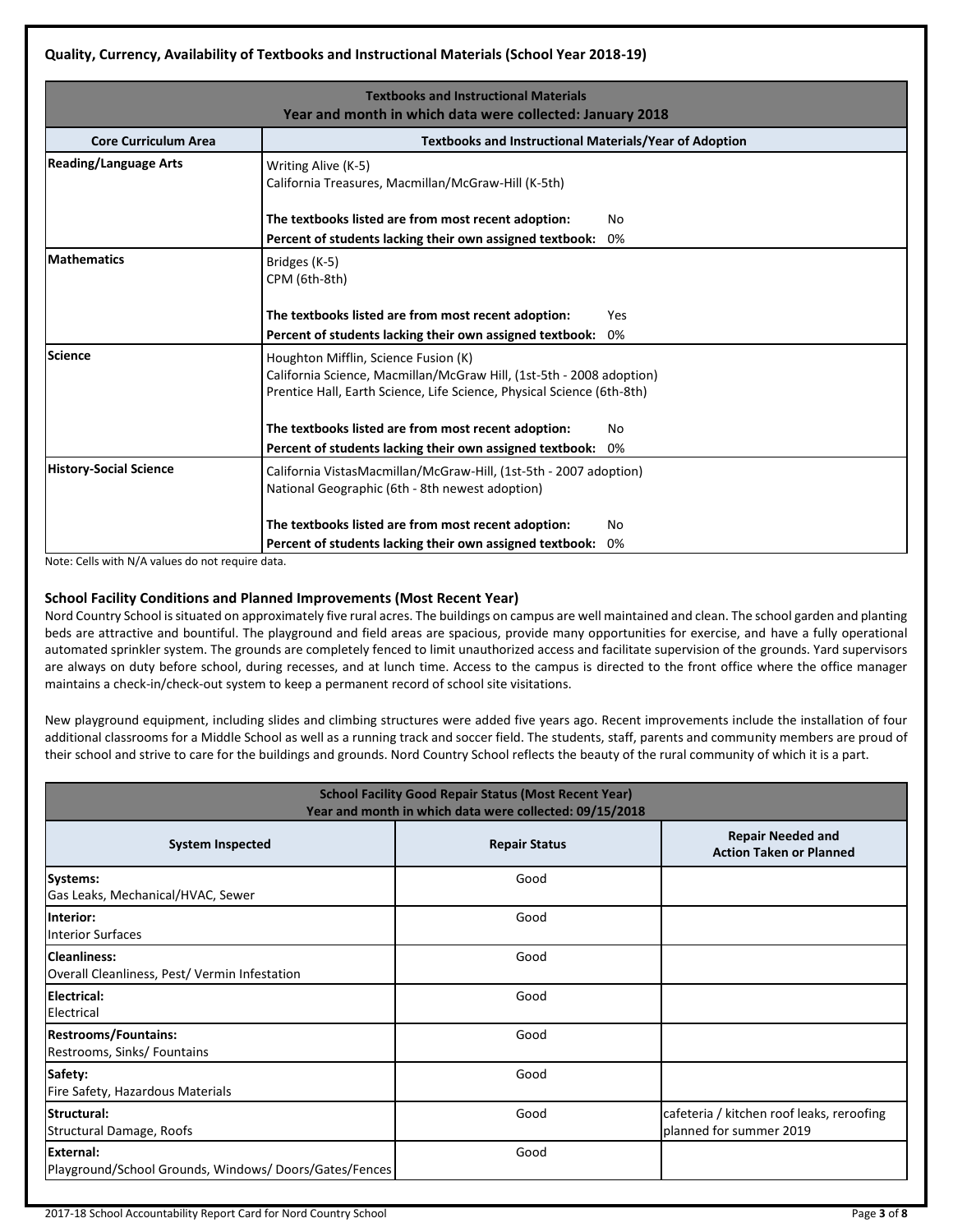# **Quality, Currency, Availability of Textbooks and Instructional Materials (School Year 2018-19)**

|                               | <b>Textbooks and Instructional Materials</b>                           |     |  |  |  |  |
|-------------------------------|------------------------------------------------------------------------|-----|--|--|--|--|
|                               | Year and month in which data were collected: January 2018              |     |  |  |  |  |
| <b>Core Curriculum Area</b>   | <b>Textbooks and Instructional Materials/Year of Adoption</b>          |     |  |  |  |  |
| <b>Reading/Language Arts</b>  | Writing Alive (K-5)                                                    |     |  |  |  |  |
|                               | California Treasures, Macmillan/McGraw-Hill (K-5th)                    |     |  |  |  |  |
|                               | The textbooks listed are from most recent adoption:                    | No. |  |  |  |  |
|                               | Percent of students lacking their own assigned textbook:               | 0%  |  |  |  |  |
| <b>Mathematics</b>            | Bridges (K-5)                                                          |     |  |  |  |  |
|                               | CPM (6th-8th)                                                          |     |  |  |  |  |
|                               |                                                                        |     |  |  |  |  |
|                               | The textbooks listed are from most recent adoption:                    | Yes |  |  |  |  |
|                               | Percent of students lacking their own assigned textbook:               | 0%  |  |  |  |  |
| <b>Science</b>                | Houghton Mifflin, Science Fusion (K)                                   |     |  |  |  |  |
|                               | California Science, Macmillan/McGraw Hill, (1st-5th - 2008 adoption)   |     |  |  |  |  |
|                               | Prentice Hall, Earth Science, Life Science, Physical Science (6th-8th) |     |  |  |  |  |
|                               | The textbooks listed are from most recent adoption:                    | No. |  |  |  |  |
|                               | Percent of students lacking their own assigned textbook:               | 0%  |  |  |  |  |
| <b>History-Social Science</b> | California VistasMacmillan/McGraw-Hill, (1st-5th - 2007 adoption)      |     |  |  |  |  |
|                               | National Geographic (6th - 8th newest adoption)                        |     |  |  |  |  |
|                               | The textbooks listed are from most recent adoption:                    | No  |  |  |  |  |
|                               | Percent of students lacking their own assigned textbook:               | 0%  |  |  |  |  |

Note: Cells with N/A values do not require data.

#### **School Facility Conditions and Planned Improvements (Most Recent Year)**

Nord Country School is situated on approximately five rural acres. The buildings on campus are well maintained and clean. The school garden and planting beds are attractive and bountiful. The playground and field areas are spacious, provide many opportunities for exercise, and have a fully operational automated sprinkler system. The grounds are completely fenced to limit unauthorized access and facilitate supervision of the grounds. Yard supervisors are always on duty before school, during recesses, and at lunch time. Access to the campus is directed to the front office where the office manager maintains a check-in/check-out system to keep a permanent record of school site visitations.

New playground equipment, including slides and climbing structures were added five years ago. Recent improvements include the installation of four additional classrooms for a Middle School as well as a running track and soccer field. The students, staff, parents and community members are proud of their school and strive to care for the buildings and grounds. Nord Country School reflects the beauty of the rural community of which it is a part.

| <b>School Facility Good Repair Status (Most Recent Year)</b><br>Year and month in which data were collected: 09/15/2018 |                      |                                                                      |  |  |
|-------------------------------------------------------------------------------------------------------------------------|----------------------|----------------------------------------------------------------------|--|--|
| <b>System Inspected</b>                                                                                                 | <b>Repair Status</b> | <b>Repair Needed and</b><br><b>Action Taken or Planned</b>           |  |  |
| Systems:<br>Gas Leaks, Mechanical/HVAC, Sewer                                                                           | Good                 |                                                                      |  |  |
| Interior:<br><b>Interior Surfaces</b>                                                                                   | Good                 |                                                                      |  |  |
| <b>Cleanliness:</b><br>Overall Cleanliness, Pest/Vermin Infestation                                                     | Good                 |                                                                      |  |  |
| Electrical:<br>Electrical                                                                                               | Good                 |                                                                      |  |  |
| <b>Restrooms/Fountains:</b><br>Restrooms, Sinks/ Fountains                                                              | Good                 |                                                                      |  |  |
| Safety:<br>Fire Safety, Hazardous Materials                                                                             | Good                 |                                                                      |  |  |
| Structural:<br><b>Structural Damage, Roofs</b>                                                                          | Good                 | cafeteria / kitchen roof leaks, reroofing<br>planned for summer 2019 |  |  |
| <b>External:</b><br>Playground/School Grounds, Windows/Doors/Gates/Fences                                               | Good                 |                                                                      |  |  |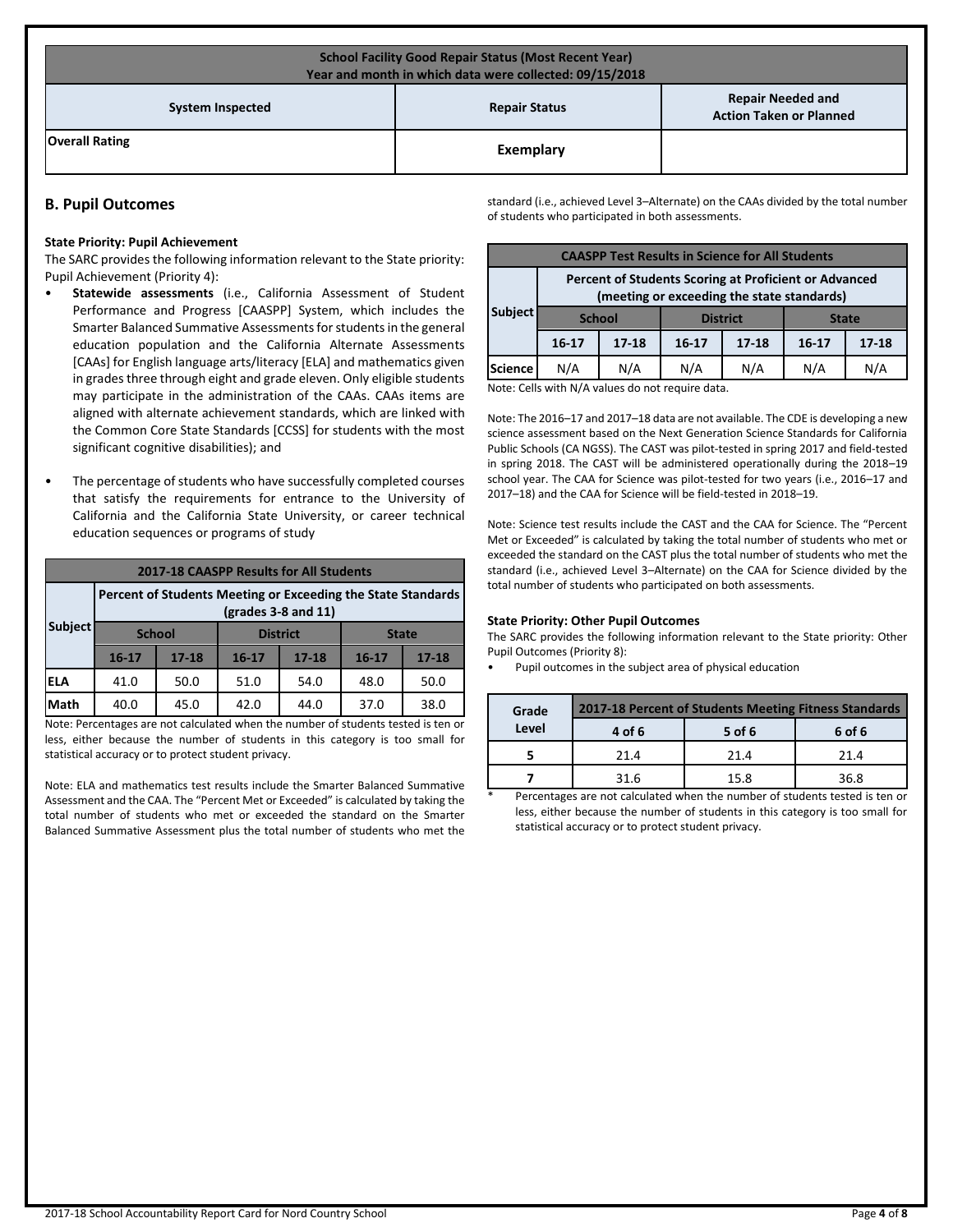| <b>School Facility Good Repair Status (Most Recent Year)</b><br>Year and month in which data were collected: 09/15/2018 |           |  |  |  |  |
|-------------------------------------------------------------------------------------------------------------------------|-----------|--|--|--|--|
| <b>Repair Needed and</b><br><b>Repair Status</b><br><b>System Inspected</b><br><b>Action Taken or Planned</b>           |           |  |  |  |  |
| <b>Overall Rating</b>                                                                                                   | Exemplary |  |  |  |  |

# **B. Pupil Outcomes**

#### **State Priority: Pupil Achievement**

The SARC provides the following information relevant to the State priority: Pupil Achievement (Priority 4):

- **Statewide assessments** (i.e., California Assessment of Student Performance and Progress [CAASPP] System, which includes the Smarter Balanced Summative Assessments for students in the general education population and the California Alternate Assessments [CAAs] for English language arts/literacy [ELA] and mathematics given in grades three through eight and grade eleven. Only eligible students may participate in the administration of the CAAs. CAAs items are aligned with alternate achievement standards, which are linked with the Common Core State Standards [CCSS] for students with the most significant cognitive disabilities); and
- The percentage of students who have successfully completed courses that satisfy the requirements for entrance to the University of California and the California State University, or career technical education sequences or programs of study

|                                                                                                                    | <b>2017-18 CAASPP Results for All Students</b> |           |           |                 |           |              |  |
|--------------------------------------------------------------------------------------------------------------------|------------------------------------------------|-----------|-----------|-----------------|-----------|--------------|--|
| Percent of Students Meeting or Exceeding the State Standards<br>$\left(\frac{\text{grades}}{3} - 8\right)$ and 11) |                                                |           |           |                 |           |              |  |
| <b>Subject</b>                                                                                                     | <b>School</b>                                  |           |           | <b>District</b> |           | <b>State</b> |  |
|                                                                                                                    | $16 - 17$                                      | $17 - 18$ | $16 - 17$ | $17 - 18$       | $16 - 17$ | $17 - 18$    |  |
| ELA                                                                                                                | 41.0                                           | 50.0      | 51.0      | 54.0            | 48.0      | 50.0         |  |
| Math                                                                                                               | 40.0                                           | 45.0      | 42.0      | 44.0            | 37.0      | 38.0         |  |

Note: Percentages are not calculated when the number of students tested is ten or less, either because the number of students in this category is too small for statistical accuracy or to protect student privacy.

Note: ELA and mathematics test results include the Smarter Balanced Summative Assessment and the CAA. The "Percent Met or Exceeded" is calculated by taking the total number of students who met or exceeded the standard on the Smarter Balanced Summative Assessment plus the total number of students who met the standard (i.e., achieved Level 3–Alternate) on the CAAs divided by the total number of students who participated in both assessments.

| <b>CAASPP Test Results in Science for All Students</b>                                              |               |           |           |                 |              |           |
|-----------------------------------------------------------------------------------------------------|---------------|-----------|-----------|-----------------|--------------|-----------|
| Percent of Students Scoring at Proficient or Advanced<br>(meeting or exceeding the state standards) |               |           |           |                 |              |           |
| Subject                                                                                             | <b>School</b> |           |           | <b>District</b> | <b>State</b> |           |
|                                                                                                     | $16-17$       | $17 - 18$ | $16 - 17$ | $17 - 18$       | $16 - 17$    | $17 - 18$ |
| Science                                                                                             | N/A           | N/A       | N/A       | N/A             | N/A          | N/A       |

Note: Cells with N/A values do not require data.

Note: The 2016–17 and 2017–18 data are not available. The CDE is developing a new science assessment based on the Next Generation Science Standards for California Public Schools (CA NGSS). The CAST was pilot-tested in spring 2017 and field-tested in spring 2018. The CAST will be administered operationally during the 2018–19 school year. The CAA for Science was pilot-tested for two years (i.e., 2016–17 and 2017–18) and the CAA for Science will be field-tested in 2018–19.

Note: Science test results include the CAST and the CAA for Science. The "Percent Met or Exceeded" is calculated by taking the total number of students who met or exceeded the standard on the CAST plus the total number of students who met the standard (i.e., achieved Level 3–Alternate) on the CAA for Science divided by the total number of students who participated on both assessments.

#### **State Priority: Other Pupil Outcomes**

The SARC provides the following information relevant to the State priority: Other Pupil Outcomes (Priority 8):

• Pupil outcomes in the subject area of physical education

| Grade | 2017-18 Percent of Students Meeting Fitness Standards |      |      |  |  |  |
|-------|-------------------------------------------------------|------|------|--|--|--|
| Level | 5 of 6<br>4 of 6<br>6 of 6                            |      |      |  |  |  |
|       | 21.4                                                  | 21.4 | 21.4 |  |  |  |
|       | 31.6                                                  | 15.8 | 36 R |  |  |  |

Percentages are not calculated when the number of students tested is ten or less, either because the number of students in this category is too small for statistical accuracy or to protect student privacy.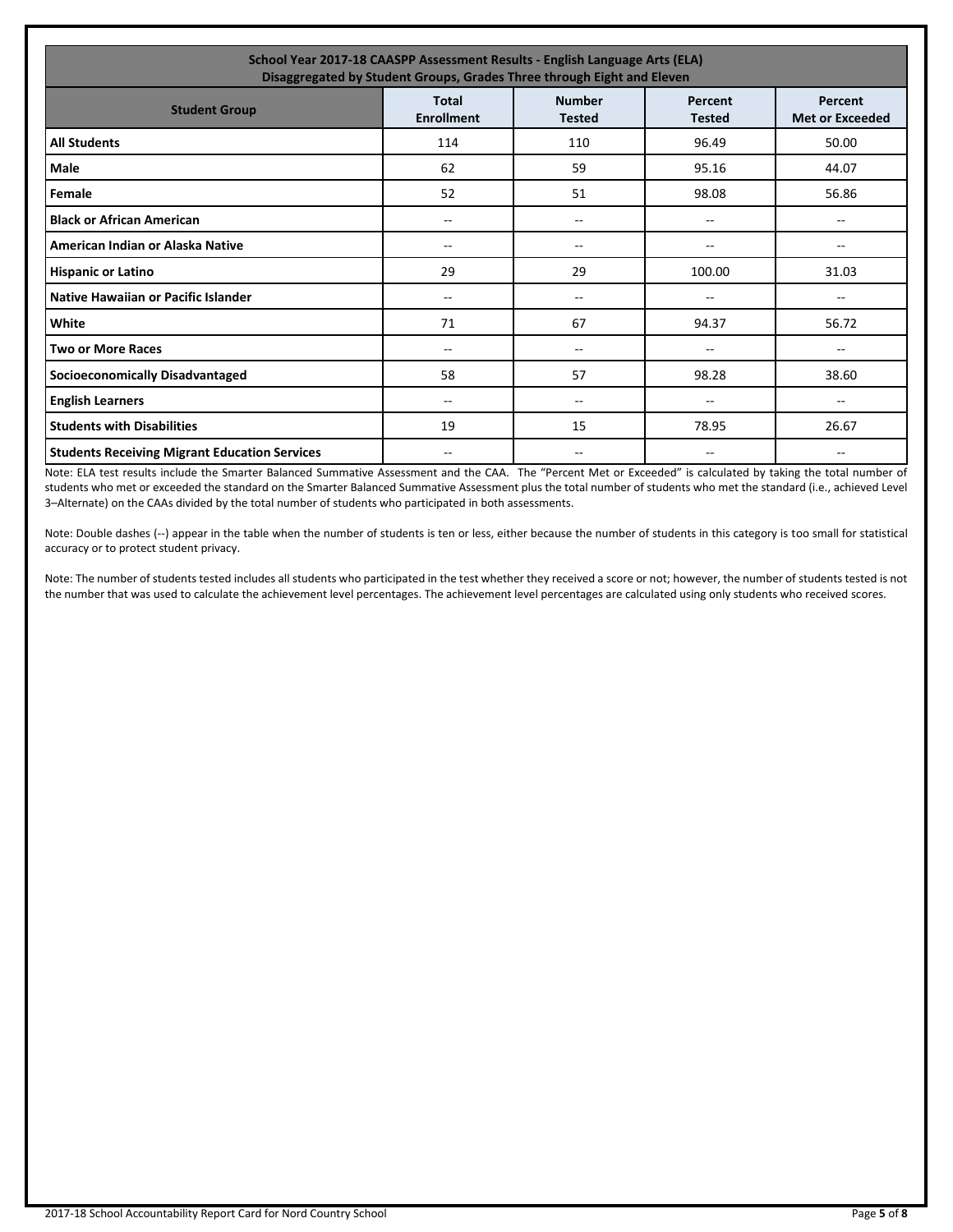| School Year 2017-18 CAASPP Assessment Results - English Language Arts (ELA)<br>Disaggregated by Student Groups, Grades Three through Eight and Eleven        |       |     |        |                          |  |  |
|--------------------------------------------------------------------------------------------------------------------------------------------------------------|-------|-----|--------|--------------------------|--|--|
| <b>Number</b><br><b>Total</b><br>Percent<br>Percent<br><b>Student Group</b><br><b>Enrollment</b><br><b>Met or Exceeded</b><br><b>Tested</b><br><b>Tested</b> |       |     |        |                          |  |  |
| <b>All Students</b>                                                                                                                                          | 114   | 110 | 96.49  | 50.00                    |  |  |
| Male                                                                                                                                                         | 62    | 59  | 95.16  | 44.07                    |  |  |
| Female                                                                                                                                                       | 52    | 51  | 98.08  | 56.86                    |  |  |
| <b>Black or African American</b>                                                                                                                             | --    | --  | --     | $\overline{\phantom{m}}$ |  |  |
| American Indian or Alaska Native                                                                                                                             | --    | $-$ | --     | $\overline{\phantom{a}}$ |  |  |
| <b>Hispanic or Latino</b>                                                                                                                                    | 29    | 29  | 100.00 | 31.03                    |  |  |
| Native Hawaiian or Pacific Islander                                                                                                                          | --    | --  | --     | --                       |  |  |
| White                                                                                                                                                        | 71    | 67  | 94.37  | 56.72                    |  |  |
| <b>Two or More Races</b>                                                                                                                                     | --    | --  | --     | --                       |  |  |
| <b>Socioeconomically Disadvantaged</b>                                                                                                                       | 58    | 57  | 98.28  | 38.60                    |  |  |
| <b>English Learners</b>                                                                                                                                      | --    | --  | --     | $- -$                    |  |  |
| <b>Students with Disabilities</b>                                                                                                                            | 19    | 15  | 78.95  | 26.67                    |  |  |
| <b>Students Receiving Migrant Education Services</b>                                                                                                         | $- -$ | --  | --     | --                       |  |  |

Note: ELA test results include the Smarter Balanced Summative Assessment and the CAA. The "Percent Met or Exceeded" is calculated by taking the total number of students who met or exceeded the standard on the Smarter Balanced Summative Assessment plus the total number of students who met the standard (i.e., achieved Level 3–Alternate) on the CAAs divided by the total number of students who participated in both assessments.

Note: Double dashes (--) appear in the table when the number of students is ten or less, either because the number of students in this category is too small for statistical accuracy or to protect student privacy.

Note: The number of students tested includes all students who participated in the test whether they received a score or not; however, the number of students tested is not the number that was used to calculate the achievement level percentages. The achievement level percentages are calculated using only students who received scores.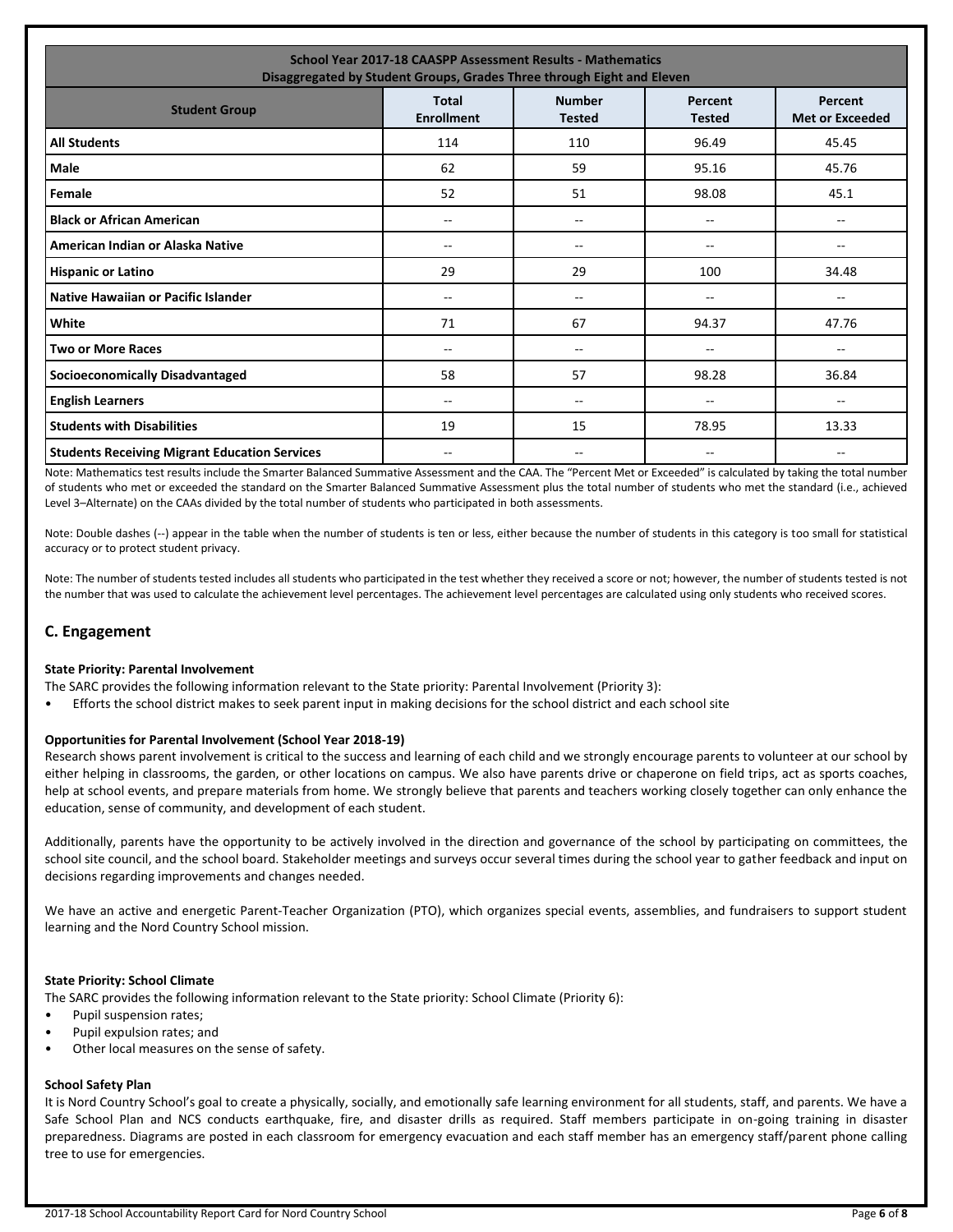| <b>School Year 2017-18 CAASPP Assessment Results - Mathematics</b><br>Disaggregated by Student Groups, Grades Three through Eight and Eleven                 |       |     |       |                          |  |  |
|--------------------------------------------------------------------------------------------------------------------------------------------------------------|-------|-----|-------|--------------------------|--|--|
| <b>Number</b><br><b>Total</b><br>Percent<br>Percent<br><b>Student Group</b><br><b>Enrollment</b><br><b>Met or Exceeded</b><br><b>Tested</b><br><b>Tested</b> |       |     |       |                          |  |  |
| <b>All Students</b>                                                                                                                                          | 114   | 110 | 96.49 | 45.45                    |  |  |
| <b>Male</b>                                                                                                                                                  | 62    | 59  | 95.16 | 45.76                    |  |  |
| Female                                                                                                                                                       | 52    | 51  | 98.08 | 45.1                     |  |  |
| <b>Black or African American</b>                                                                                                                             | ۰.    | --  | --    | $\overline{\phantom{a}}$ |  |  |
| American Indian or Alaska Native                                                                                                                             | --    | --  | --    | ۰.                       |  |  |
| <b>Hispanic or Latino</b>                                                                                                                                    | 29    | 29  | 100   | 34.48                    |  |  |
| Native Hawaiian or Pacific Islander                                                                                                                          | $- -$ | --  | --    | --                       |  |  |
| White                                                                                                                                                        | 71    | 67  | 94.37 | 47.76                    |  |  |
| <b>Two or More Races</b>                                                                                                                                     | $- -$ | --  | --    | $\qquad \qquad -$        |  |  |
| <b>Socioeconomically Disadvantaged</b>                                                                                                                       | 58    | 57  | 98.28 | 36.84                    |  |  |
| <b>English Learners</b>                                                                                                                                      | $- -$ | $-$ | --    | $- -$                    |  |  |
| <b>Students with Disabilities</b>                                                                                                                            | 19    | 15  | 78.95 | 13.33                    |  |  |
| <b>Students Receiving Migrant Education Services</b>                                                                                                         | --    | --  | --    | ۰.                       |  |  |

Note: Mathematics test results include the Smarter Balanced Summative Assessment and the CAA. The "Percent Met or Exceeded" is calculated by taking the total number of students who met or exceeded the standard on the Smarter Balanced Summative Assessment plus the total number of students who met the standard (i.e., achieved Level 3–Alternate) on the CAAs divided by the total number of students who participated in both assessments.

Note: Double dashes (--) appear in the table when the number of students is ten or less, either because the number of students in this category is too small for statistical accuracy or to protect student privacy.

Note: The number of students tested includes all students who participated in the test whether they received a score or not; however, the number of students tested is not the number that was used to calculate the achievement level percentages. The achievement level percentages are calculated using only students who received scores.

# **C. Engagement**

#### **State Priority: Parental Involvement**

The SARC provides the following information relevant to the State priority: Parental Involvement (Priority 3):

• Efforts the school district makes to seek parent input in making decisions for the school district and each school site

#### **Opportunities for Parental Involvement (School Year 2018-19)**

Research shows parent involvement is critical to the success and learning of each child and we strongly encourage parents to volunteer at our school by either helping in classrooms, the garden, or other locations on campus. We also have parents drive or chaperone on field trips, act as sports coaches, help at school events, and prepare materials from home. We strongly believe that parents and teachers working closely together can only enhance the education, sense of community, and development of each student.

Additionally, parents have the opportunity to be actively involved in the direction and governance of the school by participating on committees, the school site council, and the school board. Stakeholder meetings and surveys occur several times during the school year to gather feedback and input on decisions regarding improvements and changes needed.

We have an active and energetic Parent-Teacher Organization (PTO), which organizes special events, assemblies, and fundraisers to support student learning and the Nord Country School mission.

#### **State Priority: School Climate**

The SARC provides the following information relevant to the State priority: School Climate (Priority 6):

- Pupil suspension rates;
- Pupil expulsion rates; and
- Other local measures on the sense of safety.

#### **School Safety Plan**

It is Nord Country School's goal to create a physically, socially, and emotionally safe learning environment for all students, staff, and parents. We have a Safe School Plan and NCS conducts earthquake, fire, and disaster drills as required. Staff members participate in on-going training in disaster preparedness. Diagrams are posted in each classroom for emergency evacuation and each staff member has an emergency staff/parent phone calling tree to use for emergencies.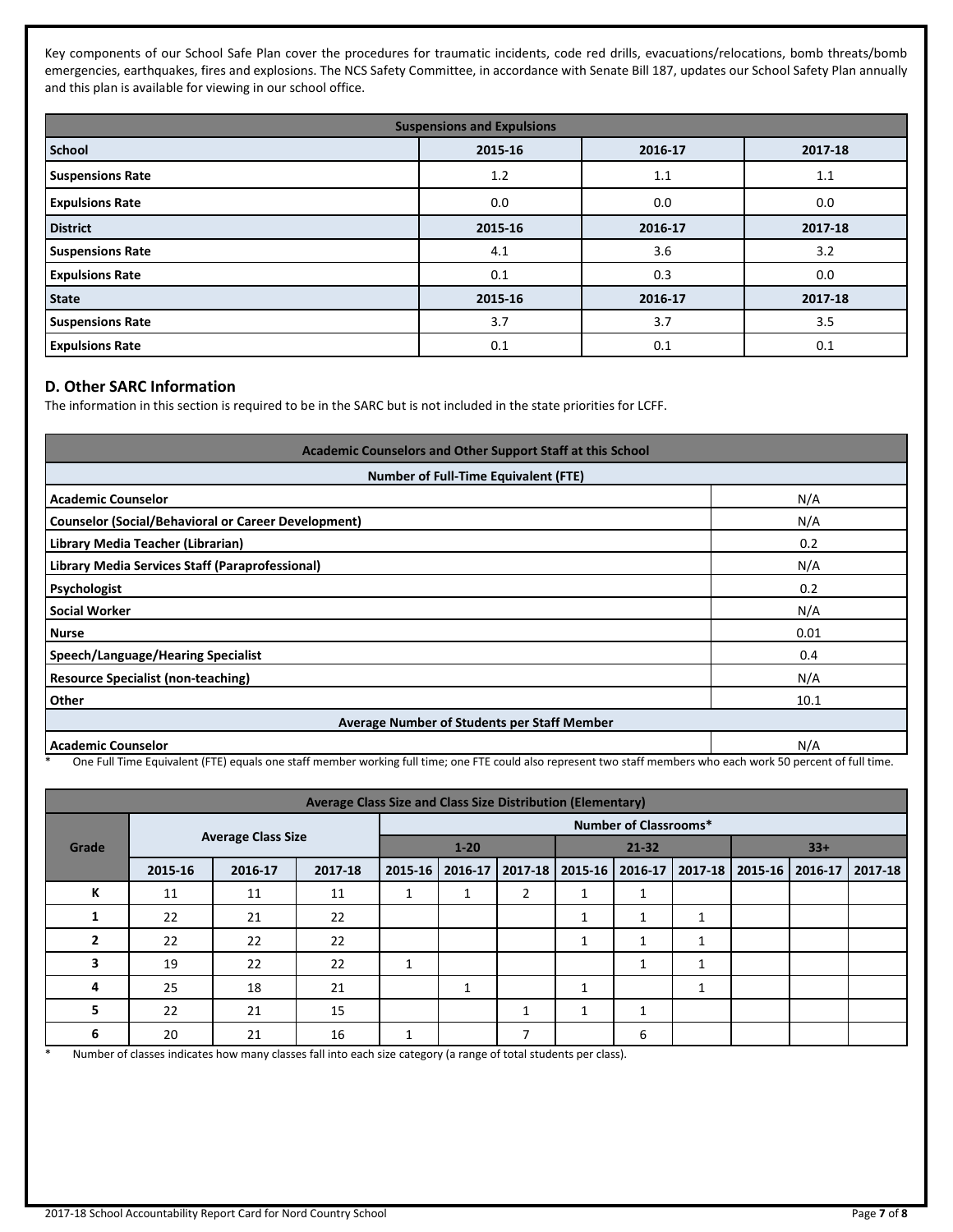Key components of our School Safe Plan cover the procedures for traumatic incidents, code red drills, evacuations/relocations, bomb threats/bomb emergencies, earthquakes, fires and explosions. The NCS Safety Committee, in accordance with Senate Bill 187, updates our School Safety Plan annually and this plan is available for viewing in our school office.

| <b>Suspensions and Expulsions</b> |         |         |         |  |  |  |
|-----------------------------------|---------|---------|---------|--|--|--|
| School                            | 2015-16 | 2016-17 | 2017-18 |  |  |  |
| <b>Suspensions Rate</b>           | 1.2     | 1.1     | 1.1     |  |  |  |
| <b>Expulsions Rate</b>            | 0.0     | 0.0     | 0.0     |  |  |  |
| <b>District</b>                   | 2015-16 | 2016-17 | 2017-18 |  |  |  |
| <b>Suspensions Rate</b>           | 4.1     | 3.6     | 3.2     |  |  |  |
| <b>Expulsions Rate</b>            | 0.1     | 0.3     | 0.0     |  |  |  |
| <b>State</b>                      | 2015-16 | 2016-17 | 2017-18 |  |  |  |
| <b>Suspensions Rate</b>           | 3.7     | 3.7     | 3.5     |  |  |  |
| <b>Expulsions Rate</b>            | 0.1     | 0.1     | 0.1     |  |  |  |

# **D. Other SARC Information**

The information in this section is required to be in the SARC but is not included in the state priorities for LCFF.

| Academic Counselors and Other Support Staff at this School<br><b>Number of Full-Time Equivalent (FTE)</b> |      |  |  |  |
|-----------------------------------------------------------------------------------------------------------|------|--|--|--|
|                                                                                                           |      |  |  |  |
| <b>Counselor (Social/Behavioral or Career Development)</b>                                                | N/A  |  |  |  |
| Library Media Teacher (Librarian)                                                                         | 0.2  |  |  |  |
| Library Media Services Staff (Paraprofessional)                                                           | N/A  |  |  |  |
| Psychologist                                                                                              | 0.2  |  |  |  |
| <b>Social Worker</b>                                                                                      | N/A  |  |  |  |
| <b>Nurse</b>                                                                                              | 0.01 |  |  |  |
| Speech/Language/Hearing Specialist                                                                        | 0.4  |  |  |  |
| <b>Resource Specialist (non-teaching)</b>                                                                 | N/A  |  |  |  |
| <b>Other</b>                                                                                              | 10.1 |  |  |  |
| Average Number of Students per Staff Member                                                               |      |  |  |  |
| <b>Academic Counselor</b>                                                                                 | N/A  |  |  |  |

\* One Full Time Equivalent (FTE) equals one staff member working full time; one FTE could also represent two staff members who each work 50 percent of full time.

| <b>Average Class Size and Class Size Distribution (Elementary)</b> |         |                              |         |          |         |           |                   |              |                                                 |  |  |  |
|--------------------------------------------------------------------|---------|------------------------------|---------|----------|---------|-----------|-------------------|--------------|-------------------------------------------------|--|--|--|
|                                                                    |         | <b>Number of Classrooms*</b> |         |          |         |           |                   |              |                                                 |  |  |  |
| Grade                                                              |         | <b>Average Class Size</b>    |         | $1 - 20$ |         | $21 - 32$ |                   | $33+$        |                                                 |  |  |  |
|                                                                    | 2015-16 | 2016-17                      | 2017-18 | 2015-16  | 2016-17 |           | 2017-18   2015-16 |              | 2016-17   2017-18   2015-16   2016-17   2017-18 |  |  |  |
| К                                                                  | 11      | 11                           | 11      |          |         | 2         |                   |              |                                                 |  |  |  |
| л.                                                                 | 22      | 21                           | 22      |          |         |           | ٠<br>ш            | 1            | 1                                               |  |  |  |
| $\overline{2}$                                                     | 22      | 22                           | 22      |          |         |           | 1                 | 1            |                                                 |  |  |  |
| 3                                                                  | 19      | 22                           | 22      | 1        |         |           |                   |              |                                                 |  |  |  |
| 4                                                                  | 25      | 18                           | 21      |          | 1       |           | $\mathbf{1}$      |              | -1<br>$\perp$                                   |  |  |  |
| 5                                                                  | 22      | 21                           | 15      |          |         |           | 1                 | $\mathbf{A}$ |                                                 |  |  |  |
| 6                                                                  | 20      | 21                           | 16      |          |         | 7         |                   | 6            |                                                 |  |  |  |

\* Number of classes indicates how many classes fall into each size category (a range of total students per class).